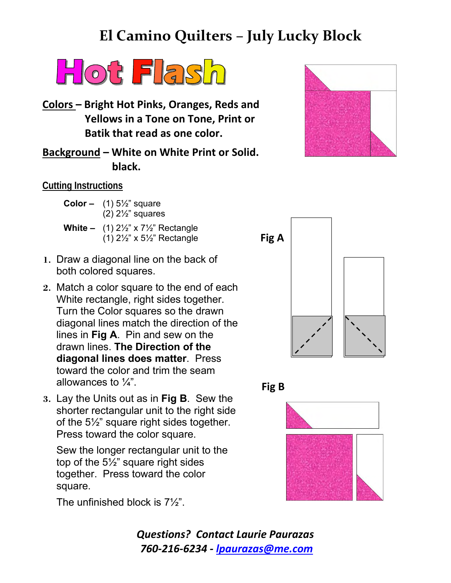## **El Camino Quilters – July Lucky Block**



**Colors – Bright Hot Pinks, Oranges, Reds and Yellows in a Tone on Tone, Print or Batik that read as one color.**

**Background – White on White Print or Solid. black.**

## **Cutting Instructions**

| <b>Color -</b> $(1)$ 5 <sup><math>1/2</math></sup> square<br>$(2)$ 2 $\frac{1}{2}$ " squares                                       |
|------------------------------------------------------------------------------------------------------------------------------------|
| <b>White -</b> $(1) 2\frac{1}{2}$ x 7 <sup>1</sup> / <sub>2</sub> " Rectangle<br>(1) $2\frac{1}{2}$ " x $5\frac{1}{2}$ " Rectangle |

- **1.** Draw a diagonal line on the back of both colored squares.
- **2.** Match a color square to the end of each White rectangle, right sides together. Turn the Color squares so the drawn diagonal lines match the direction of the lines in **Fig A**. Pin and sew on the drawn lines. **The Direction of the diagonal lines does matter**. Press toward the color and trim the seam allowances to  $\frac{1}{4}$ .
- **3.** Lay the Units out as in **Fig B**. Sew the shorter rectangular unit to the right side of the 5½" square right sides together. Press toward the color square.

Sew the longer rectangular unit to the top of the 5½" square right sides together. Press toward the color square.

The unfinished block is 7½".

*Questions? Contact Laurie Paurazas 760-216-6234 - [lpaurazas@me.com](mailto:lpaurazas@me.com)*







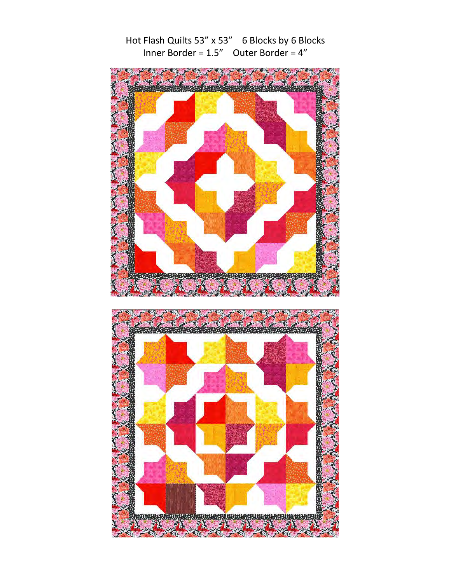

Contact of the Contact of the Contact of

Hot Flash Quilts 53" x 53" 6 Blocks by 6 Blocks Inner Border = 1.5" Outer Border = 4"